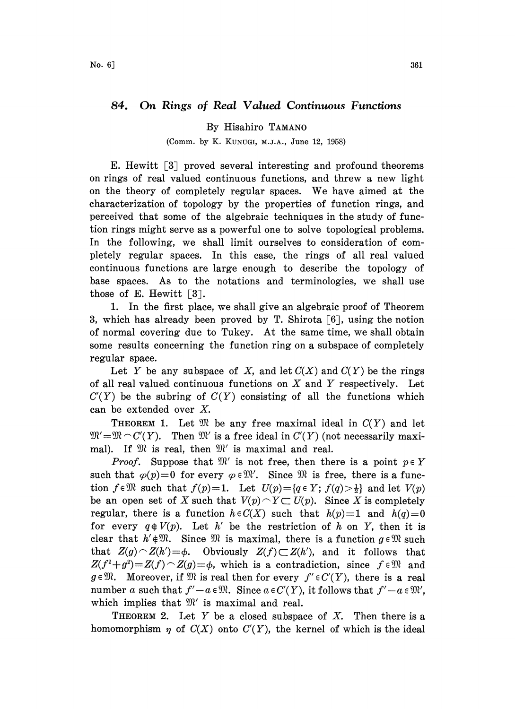## 84. On Rings of Real Valued Continuous Functions

## By Hisahiro TAMANO

## (Comm. by K. KUNUGI, M.J.A., June 12, 1958)

E. Hewitt [3] proved several interesting and profound theorems on rings of real valued continuous functions, and threw a new light on the theory of completely regular spaces. We have aimed at the characterization of topology by the properties of function rings, and perceived that some of the algebraic techniques in the study of function rings might serve as a powerful one to solve topological problems. In the following, we shall limit ourselves to consideration of completely regular spaces. In this case, the rings of all real valued continuous functions are large enough to describe the topology of base spaces. As to the notations and terminologies, we shall use those of E. Hewitt  $\lceil 3 \rceil$ .

1. In the first place, we shall give an algebraic proof of Theorem 3, which has already been proved by T. Shirota  $[6]$ , using the notion of normal covering due to Tukey. At the same time, we shall obtain some results concerning the function ring on a subspace of completely regular space.

Let Y be any subspace of X, and let  $C(X)$  and  $C(Y)$  be the rings of all real valued continuous functions on  $X$  and  $Y$  respectively. Let  $C'(Y)$  be the subring of  $C(Y)$  consisting of all the functions which can be extended over X.

THEOREM 1. Let  $\mathfrak{M}$  be any free maximal ideal in  $C(Y)$  and let  $\mathfrak{M}'\text{=}\mathfrak{M}\!\smallfrown\! \textit{C}'(Y).$  Then  $\mathfrak{M}'$  is a free ideal in  $\textit{C}'(Y)$  (not necessarily maxi- $\mathfrak{M} = \mathfrak{M} \cap C(Y)$ . Then  $\mathfrak{M}$  is a free ideal in  $C(Y)$  (normal). If  $\mathfrak{M}$  is real, then  $\mathfrak{M}'$  is maximal and real.

. If  $\mathfrak{M}$  is real, then  $\mathfrak{M}'$  is maximal and real.<br>*Proof*. Suppose that  $\mathfrak{M}'$  is not free, then there is a point  $p \in Y$ *Proof.* Suppose that  $\mathcal{W}$  is not free, then there is a point  $p \in Y$  such that  $\varphi(p)=0$  for every  $\varphi \in \mathcal{W}'$ . Since  $\mathcal{W}$  is free, there is a function  $f \in \mathbb{R}$  such that  $f(p)=1$ . Let  $U(p) = \{q \in Y; f(q) > \frac{1}{2}\}$  and let  $V(p)$ be an open set of X such that  $V(p) \cap Y \subset U(p)$ . Since X is completely regular, there is a function  $h \in C(X)$  such that  $h(p)=1$  and  $h(q)=0$ for every  $q \notin V(p)$ . Let h' be the restriction of h on Y, then it is clear that  $h' \notin \mathbb{R}$ . Since  $\mathbb{R}$  is maximal, there is a function  $g \in \mathbb{R}$  such that  $Z(g) \cap Z(h') = \phi$ . Obviously  $Z(f) \subset Z(h')$ , and it follows that Obviously  $Z(f) \subset Z(h')$ , and it follows that  $Z(f^2+g^2)=Z(f)\cap Z(g)=\phi$ , which is a contradiction, since  $f\in\mathbb{R}$  and  $g \in \mathfrak{M}$ . Moreover, if  $\mathfrak{M}$  is real then for every  $f' \in C'(Y)$ , there is a real number a such that  $f' - a \in \mathfrak{M}$ . Since  $a \in C'(Y)$ , it follows that  $f' - a \in \mathfrak{M}'$ , which implies that  $\mathfrak{M}'$  is maximal and real.

**THEOREM 2.** Let Y be a closed subspace of X. Then there is a homomorphism  $\eta$  of  $C(X)$  onto  $C'(Y)$ , the kernel of which is the ideal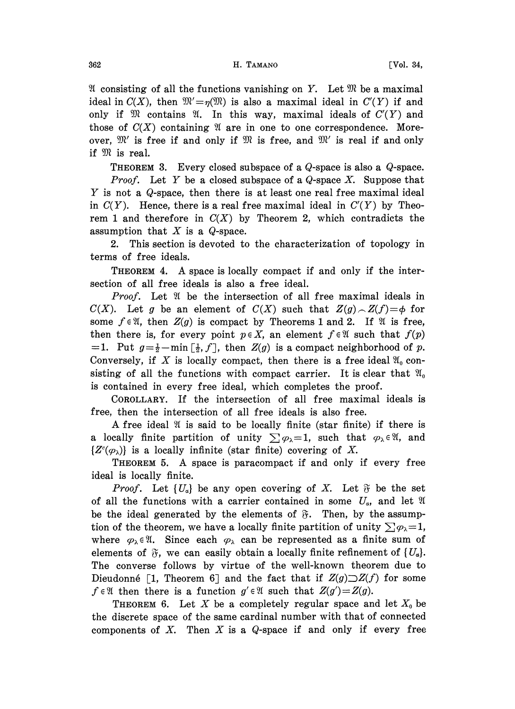$\mathfrak A$  consisting of all the functions vanishing on Y. Let  $\mathfrak M$  be a maximal ideal in  $C(X)$ , then  $\mathfrak{M}'=\eta(\mathfrak{M})$  is also a maximal ideal in  $C'(Y)$  if and only if  $\mathfrak{M}$  contains  $\mathfrak{A}$ . In this way, maximal ideals of  $C'(Y)$  and those of  $C(X)$  containing  $\mathfrak A$  are in one to one correspondence. Moreover,  $\mathfrak{M}'$  is free if and only if  $\mathfrak{M}$  is free, and  $\mathfrak{M}'$  is real if and only if  $\mathfrak{M}$  is real. if  $\mathfrak{M}$  is real.

THEOREM 3. Every closed subspace of a Q-space is also a Q-space.

*Proof.* Let Y be a closed subspace of a  $Q$ -space X. Suppose that Y is not <sup>a</sup> Q-space, then there is at least one real free maximal ideal in  $C(Y)$ . Hence, there is a real free maximal ideal in  $C'(Y)$  by Theorem 1 and therefore in  $C(X)$  by Theorem 2, which contradicts the assumption that  $X$  is a  $Q$ -space.

2. This section is devoted to the characterization of topology in terms of free ideals.

THEOREM 4. A space is locally compact if and only if the intersection of all free ideals is also a free ideal.

*Proof.* Let  $\mathfrak A$  be the intersection of all free maximal ideals in  $C(X)$ . Let g be an element of  $C(X)$  such that  $Z(g) \sim Z(f) = \phi$  for some  $f \in \mathfrak{A}$ , then  $Z(g)$  is compact by Theorems 1 and 2. If  $\mathfrak{A}$  is free, then there is, for every point  $p \in X$ , an element  $f \in \mathfrak{A}$  such that  $f(p)$ = 1. Put  $g = \frac{1}{2} - \min \left[ \frac{1}{2}, f \right]$ , then  $Z(g)$  is a compact neighborhood of p. Conversely, if X is locally compact, then there is a free ideal  $\mathfrak{A}_0$  consisting of all the functions with compact carrier. It is clear that  $\mathfrak{A}_0$ is contained in every free ideal, which completes the proof.

COROLLARY. If the intersection of all free maximal ideals is free, then the intersection of all free ideals is also free.

A free ideal  $\mathfrak A$  is said to be locally finite (star finite) if there is a locally finite partition of unity  $\sum \varphi_{\lambda}=1$ , such that  $\varphi_{\lambda} \in \mathfrak{A}$ , and  $\{Z^c(\varphi_\lambda)\}\$ is a locally infinite (star finite) covering of X.

THEOREM 5. A space is paracompact if and only if every free ideal is locally finite.

*Proof.* Let  $\{U_{\alpha}\}\$ be any open covering of X. Let  $\tilde{\sigma}$  be the set of all the functions with a carrier contained in some  $U_{\alpha}$ , and let  $\mathfrak A$ be the ideal generated by the elements of  $\mathfrak{F}$ . Then, by the assumption of the theorem, we have a locally finite partition of unity  $\sum \varphi_{\lambda}=1$ , where  $\varphi_{\lambda} \in \mathfrak{A}$ . Since each  $\varphi_{\lambda}$  can be represented as a finite sum of elements of  $\mathfrak{F}$ , we can easily obtain a locally finite refinement of  $\{U_a\}$ . The converse follows by virtue of the well-known theorem due to Dieudonné [1, Theorem 6] and the fact that if  $Z(g)\supset Z(f)$  for some  $f \in \mathfrak{A}$  then there is a function  $g' \in \mathfrak{A}$  such that  $Z(g') = Z(g)$ .

THEOREM 6. Let X be a completely regular space and let  $X_0$  be the discrete space of the same cardinal number with that of connected components of X. Then X is a  $Q$ -space if and only if every free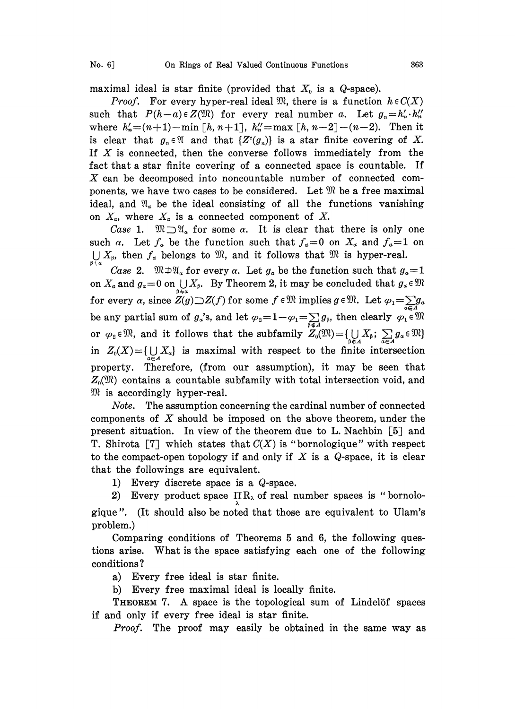maximal ideal is star finite (provided that  $X_0$  is a Q-space).

*Proof.* For every hyper-real ideal  $\mathfrak{M}$ , there is a function  $h \in C(X)$ such that  $P(h-a) \in Z(\mathfrak{M})$  for every real number a. Let  $g_n = h'_n \cdot h''_n$ where  $h'_n = (n+1) - \min[h, n+1], h''_n = \max[h, n-2] - (n-2).$  Then it is clear that  $g_n \in \mathfrak{A}$  and that  $\{Z^c(g_n)\}$  is a star finite covering of X. If  $X$  is connected, then the converse follows immediately from the fact that a star finite covering of a connected space is countable. If X can be decomposed into noncountable number of connected components, we have two cases to be considered. Let  $\mathfrak{M}$  be a free maximal ideal, and  $\mathfrak{A}_\alpha$  be the ideal consisting of all the functions vanishing on  $X_{\alpha}$ , where  $X_{\alpha}$  is a connected component of X.

Case 1.  $\mathfrak{M} \supset \mathfrak{A}_\alpha$  for some  $\alpha$ . It is clear that there is only one such  $\alpha$ . Let  $f_{\alpha}$  be the function such that  $f_{\alpha}=0$  on  $X_{\alpha}$  and  $f_{\alpha}=1$  on such  $\alpha$ . Let  $f_a$  be the function such that  $f_a=0$  on  $X_a$  and  $f_a=1$ <br>  $\bigcup_{\beta+\alpha} X_{\beta}$ , then  $f_a$  belongs to  $\mathfrak{M}$ , and it follows that  $\mathfrak{M}$  is hyper-real.

Case 2.  $\mathfrak{M} \oplus \mathfrak{A}_a$  for every  $\alpha$ . Let  $g_a$  be the function such that  $g_a=1$ on  $X_a$  and  $g_a=0$  on  $\bigcup_{a,b} X_b$ . By Theorem 2, it may be concluded that  $g_a \in \mathfrak{M}$ for every  $\alpha$ , since  $Z(g) \supset Z(f)$  for some  $f \in \mathfrak{M}$  implies  $g \in \mathfrak{M}$ . Let  $\varphi_1 = \sum_{a \in \mathcal{A}} g_a$ be any partial sum of  $g_a$ 's, and let  $\varphi_2=1-\varphi_1=\sum_{\beta\in A}g_\beta$ , then clearly  $\varphi_1\in\mathfrak{M}$ or  $\varphi_2 \in \mathfrak{M}$ , and it follows that the subfamily  $Z_0(\mathfrak{M}) = \{ \bigcup_{\alpha \in A} X_\beta : \sum_{\alpha \in A} g_\alpha \}$ in  $Z_0(X) = \{ \bigcup_{a \in A} X_a \}$  is maximal with respect to the finite intersection property. Therefore, (from our assumption), it may be seen that  $Z_0(\mathfrak{M})$  contains a countable subfamily with total intersection void, and  $\mathfrak{M}$  is accordingly hyper-real.

Note. The assumption concerning the cardinal number of connected components of  $X$  should be imposed on the above theorem, under the present situation. In view of the theorem due to L. Nachbin  $[5]$  and T. Shirota [7] which states that  $C(X)$  is "bornologique" with respect to the compact-open topology if and only if  $X$  is a Q-space, it is clear that the followings are equivalent.

1) Every discrete space is a Q-space.

2) Every product space  $\prod_{\lambda} R_{\lambda}$  of real number spaces is "bornologique ". (It should also be noted that those are equivalent to Ulam's problem.)

Comparing conditions of Theorems 5 and 6, the following questions arise. What is the space satisfying each one of the following conditions?

a) Every free ideal is star finite.

b) Every free maximal ideal is locally finite.

THEOREM 7. A space is the topological sum of Lindelöf spaces if and only if every free ideal is star finite.

Proof. The proof may easily be obtained in the same way as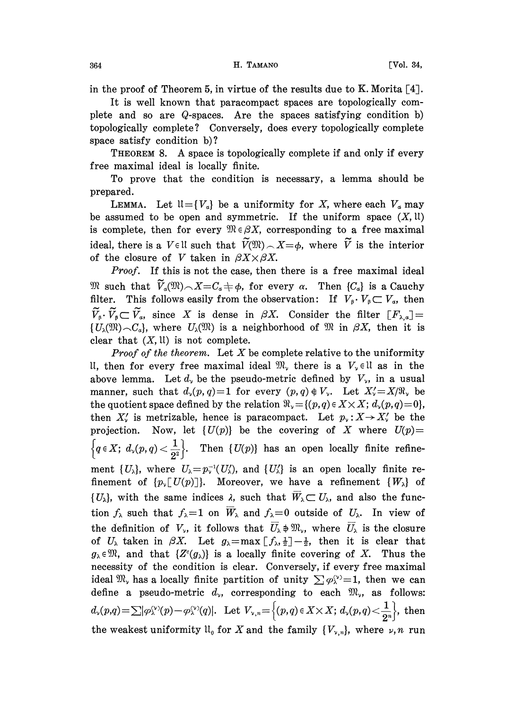in the proof of Theorem 5, in virtue of the results due to K. Morita  $[4]$ .

It is well known that paracompact spaces are topologically complete and so are Q-spaces. Are the spaces satisfying condition b) topologically complete? Conversely, does every topologically complete space satisfy condition b)?

THEOREM 8. A space is topologically complete if and only if every free maximal ideal is locally finite.

To prove that the condition is necessary, a lemma should be prepared.

LEMMA. Let  $\mathfrak{U} = \{V_a\}$  be a uniformity for X, where each  $V_a$  may be assumed to be open and symmetric. If the uniform space  $(X, \mathfrak{U})$ is complete, then for every  $\mathfrak{M} \in \beta X$ , corresponding to a free maximal ideal, there is a  $V \in \mathbb{U}$  such that  $\widetilde{V}(\mathfrak{M}) \cap X = \phi$ , where  $\widetilde{V}$  is the interior of the closure of V taken in  $\beta X \times \beta X$ .

Proof. If this is not the case, then there is a free maximal ideal We such that  $\widetilde{V}_a(\mathfrak{M}) \frown X = C_a + \phi$ , for every  $\alpha$ . Then  $\{C_a\}$  is a Cauchy filter. This follows easily from the observation: If  $V_{\beta} \cdot V_{\beta} \subset V_{\alpha}$ , then  $\widetilde{V}_\beta\cdot\widetilde{V}_\beta\subset\widetilde{V}_\alpha$ , since X is dense in  $\beta X$ . Consider the filter  $[F_{\lambda,\alpha}]=$  $\{U_{\lambda}(\mathfrak{M})\sim C_{\alpha}\}\$ , where  $U_{\lambda}(\mathfrak{M})$  is a neighborhood of  $\mathfrak{M}$  in  $\beta X$ , then it is clear that  $(X, \mathfrak{U})$  is not complete.

**Proof of the theorem.** Let  $X$  be complete relative to the uniformity II, then for every free maximal ideal  $\mathfrak{M}_{v}$  there is a  $V_{v} \in \mathfrak{U}$  as in the above lemma. Let  $d_{\gamma}$  be the pseudo-metric defined by  $V_{\gamma}$ , in a usual manner, such that  $d_{\nu}(p, q)=1$  for every  $(p, q) \notin V_{\nu}$ . Let  $X'_{\nu} = X/\Re_{\nu}$  be the quotient space defined by the relation  $\Re_y = \{(p,q) \in X \times X; d_y(p,q)=0\},\$ then  $X'_{\nu}$  is metrizable, hence is paracompact. Let  $p_{\nu}: X \to X'_{\nu}$  be the projection. Now, let  $\{U(p)\}\$ be the covering of X where  $U(p)$ =  $\left\{q\in X;\ d_{\nu}(p,q)<\frac{1}{2^2}\right\}$ . Then  $\{U(p)\}\$  has an open locally finite refinement  $\{U_{\lambda}\}\$ , where  $U_{\lambda} = p_{\lambda}^{-1}(U_{\lambda}')$ , and  $\{U_{\lambda}'\}\$ is an open locally finite refinement of  ${p_{\nu}[U(p)]}$ . Moreover, we have a refinement  ${W_{\lambda}}$  of  $\{U_{\lambda}\}\$ , with the same indices  $\lambda$ , such that  $\overline{W}_{\lambda} \subset U_{\lambda}$ , and also the function  $f_{\lambda}$  such that  $f_{\lambda}=1$  on  $\overline{W}_{\lambda}$  and  $f_{\lambda}=0$  outside of  $U_{\lambda}$ . In view of the definition of  $V_{\nu}$ , it follows that  $\overline{U}_{\lambda} \neq \mathfrak{M}_{\nu}$ , where  $\overline{U}_{\lambda}$  is the closure of  $U_{\lambda}$  taken in  $\beta X$ . Let  $g_{\lambda} = \max \left[ f_{\lambda}, \frac{1}{2} \right] - \frac{1}{2}$ , then it is clear that  $g_{\lambda} \in \mathfrak{M}$ , and that  $\{Z^c(g_{\lambda})\}$  is a locally finite covering of X. Thus the necessity of the condition is clear. Conversely, if every free maximal ideal  $\mathfrak{M}_{\nu}$  has a locally finite partition of unity  $\sum \varphi_{\lambda}^{(\nu)}=1$ , then we can define a pseudo-metric  $d_{\nu}$ , corresponding to each  $\mathfrak{M}_{\nu}$ , as follows:  $d_{\nu}(p,q)=\sum|\varphi_{\lambda}^{(\nu)}(p)-\varphi_{\lambda}^{(\nu)}(q)|.$  Let  $V_{\nu,n}=\left\{(p,q)\in X\times X;\ d_{\nu}(p,q)<\frac{1}{2^n}\right\}$ , then the weakest uniformity  $\mathfrak{U}_0$  for X and the family  $\{V_{\nu,n}\}\)$ , where  $\nu,n$  run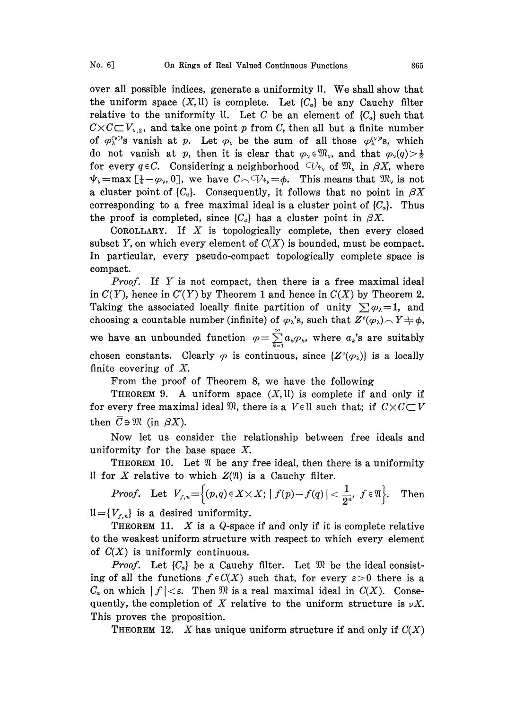over all possible indices, generate a uniformity  $\mathfrak{u}$ . We shall show that the uniform space  $(X, \mathfrak{U})$  is complete. Let  $\{C_{\alpha}\}\$ be any Cauchy filter relative to the uniformity ll. Let C be an element of  $\{C_a\}$  such that  $C \times C \subset V_{\nu,2}$ , and take one point p from C, then all but a finite number of  $\varphi_{\lambda}^{(\nu)}$ 's vanish at p. Let  $\varphi_{\nu}$  be the sum of all those  $\varphi_{\lambda}^{(\nu)}$ 's, which do not vanish at p, then it is clear that  $\varphi_{\nu} \in \mathfrak{M}_{\nu}$ , and that  $\varphi_{\nu}(q) > \frac{1}{2}$ for every  $q \in C$ . Considering a neighborhood  $\bigcirc \mathcal{C}_{\psi_{\nu}}$  of  $\mathfrak{M}_{\nu}$  in  $\beta X$ , where  $\psi_{\nu}$ =max [ $\frac{1}{4}$ - $\varphi_{\nu}$ , 0], we have  $C \cap V_{\psi_{\nu}} = \varphi$ . This means that  $\mathfrak{M}_{\nu}$  is not a cluster point of  $\{C_a\}$ . Consequently, it follows that no point in  $\beta X$ corresponding to a free maximal ideal is a cluster point of  ${C_a}$ . Thus the proof is completed, since  $\{C_a\}$  has a cluster point in  $\beta X$ .

COROLLARY. If  $X$  is topologically complete, then every closed subset Y, on which every element of  $C(X)$  is bounded, must be compact. In particular, every pseudo-compact topologically complete space is compact.

*Proof.* If Y is not compact, then there is a free maximal ideal in  $C(Y)$ , hence in  $C'(Y)$  by Theorem 1 and hence in  $C(X)$  by Theorem 2. Taking the associated locally finite partition of unity  $\sum \varphi_{\lambda}=1$ , and choosing a countable number (infinite) of  $\varphi_{\lambda}$ 's, such that  $Z^c(\varphi_{\lambda}) \sim Y \neq \varphi$ , we have an unbounded function  $\varphi = \sum_{k=1}^{\infty} a_k \varphi_k$ , where  $a_k$ 's are suitably chosen constants. Clearly  $\varphi$  is continuous, since  $\{Z^c(\varphi_\lambda)\}\$ is a locally finite covering of X.

From the proof of Theorem 8, we have the following

THEOREM 9. A uniform space  $(X, \mathfrak{U})$  is complete if and only if for every free maximal ideal  $\mathfrak{M}$ , there is a Vell such that; if  $C \times C \subset V$ then  $C \oplus \mathfrak{M}$  (in  $\beta X$ ).

Now let us consider the relationship between free ideals and uniformity for the base space X.

THEOREM 10. Let  $\mathfrak V$  be any free ideal, then there is a uniformity It for X relative to which  $Z(\mathfrak{A})$  is a Cauchy filter.

 $Proof. \quad \text{Let} \ \ V_{f,n} = \Big\{(p,q) \in X \times X; \ | \ f(p) - f(q) \ | < \frac{1}{2^n}, \ f \in \mathfrak{A} \Big\}. \quad \text{Then}$  $\mathfrak{U}=\{V_{f,n}\}\;$  is a desired uniformity.

**THEOREM 11.**  $X$  is a Q-space if and only if it is complete relative to the weakest uniform structure with respect to which every element of  $C(X)$  is uniformly continuous.

*Proof.* Let  $\{C_a\}$  be a Cauchy filter. Let  $\mathfrak{M}$  be the ideal consisting of all the functions  $f \in C(X)$  such that, for every  $\varepsilon > 0$  there is a  $C_{\alpha}$  on which  $|f| < \varepsilon$ . Then  $\mathfrak{M}$  is a real maximal ideal in  $C(X)$ . Consequently, the completion of X relative to the uniform structure is  $\nu X$ . This proves the proposition.

THEOREM 12. X has unique uniform structure if and only if  $C(X)$